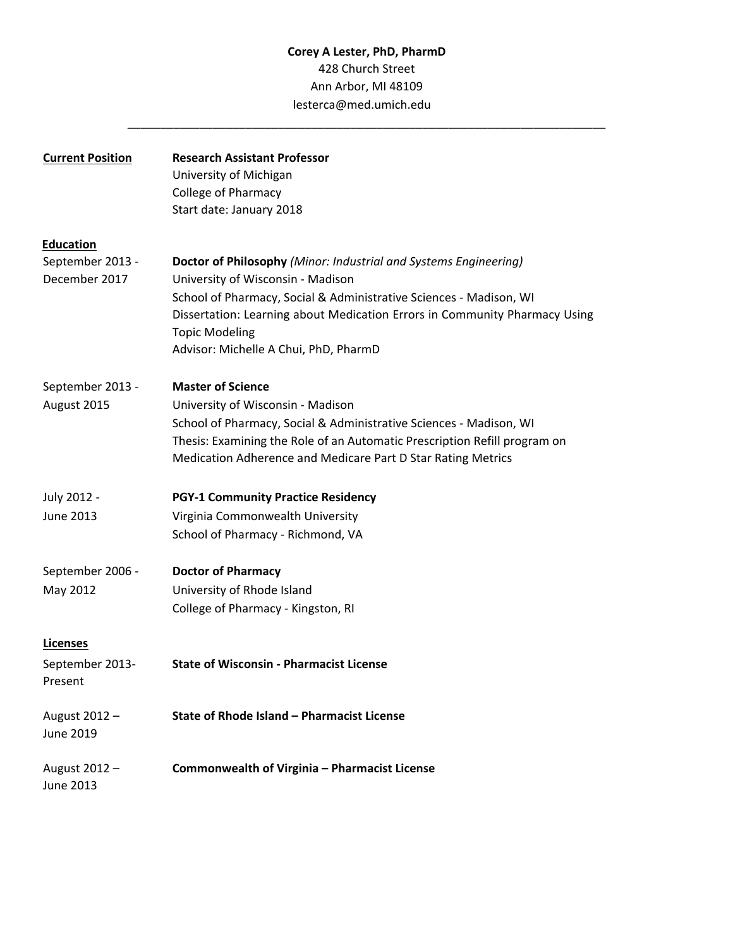# **Corey A Lester, PhD, PharmD** 428 Church Street Ann Arbor, MI 48109 lesterca@med.umich.edu

\_\_\_\_\_\_\_\_\_\_\_\_\_\_\_\_\_\_\_\_\_\_\_\_\_\_\_\_\_\_\_\_\_\_\_\_\_\_\_\_\_\_\_\_\_\_\_\_\_\_\_\_\_\_\_\_\_\_\_\_\_\_\_\_\_\_\_\_\_\_\_\_\_

| <b>Current Position</b> | <b>Research Assistant Professor</b>                                                                 |
|-------------------------|-----------------------------------------------------------------------------------------------------|
|                         | University of Michigan                                                                              |
|                         | <b>College of Pharmacy</b>                                                                          |
|                         | Start date: January 2018                                                                            |
| <b>Education</b>        |                                                                                                     |
| September 2013 -        | Doctor of Philosophy (Minor: Industrial and Systems Engineering)                                    |
| December 2017           | University of Wisconsin - Madison                                                                   |
|                         | School of Pharmacy, Social & Administrative Sciences - Madison, WI                                  |
|                         | Dissertation: Learning about Medication Errors in Community Pharmacy Using<br><b>Topic Modeling</b> |
|                         | Advisor: Michelle A Chui, PhD, PharmD                                                               |
|                         |                                                                                                     |
| September 2013 -        | <b>Master of Science</b>                                                                            |
| August 2015             | University of Wisconsin - Madison                                                                   |
|                         | School of Pharmacy, Social & Administrative Sciences - Madison, WI                                  |
|                         | Thesis: Examining the Role of an Automatic Prescription Refill program on                           |
|                         | Medication Adherence and Medicare Part D Star Rating Metrics                                        |
| July 2012 -             | <b>PGY-1 Community Practice Residency</b>                                                           |
| June 2013               | Virginia Commonwealth University                                                                    |
|                         | School of Pharmacy - Richmond, VA                                                                   |
| September 2006 -        | <b>Doctor of Pharmacy</b>                                                                           |
| May 2012                | University of Rhode Island                                                                          |
|                         | College of Pharmacy - Kingston, RI                                                                  |
|                         |                                                                                                     |
| <b>Licenses</b>         |                                                                                                     |
| September 2013-         | <b>State of Wisconsin - Pharmacist License</b>                                                      |
| Present                 |                                                                                                     |
| August 2012 -           | State of Rhode Island - Pharmacist License                                                          |
| June 2019               |                                                                                                     |
|                         |                                                                                                     |
| August 2012 -           | Commonwealth of Virginia - Pharmacist License                                                       |
| June 2013               |                                                                                                     |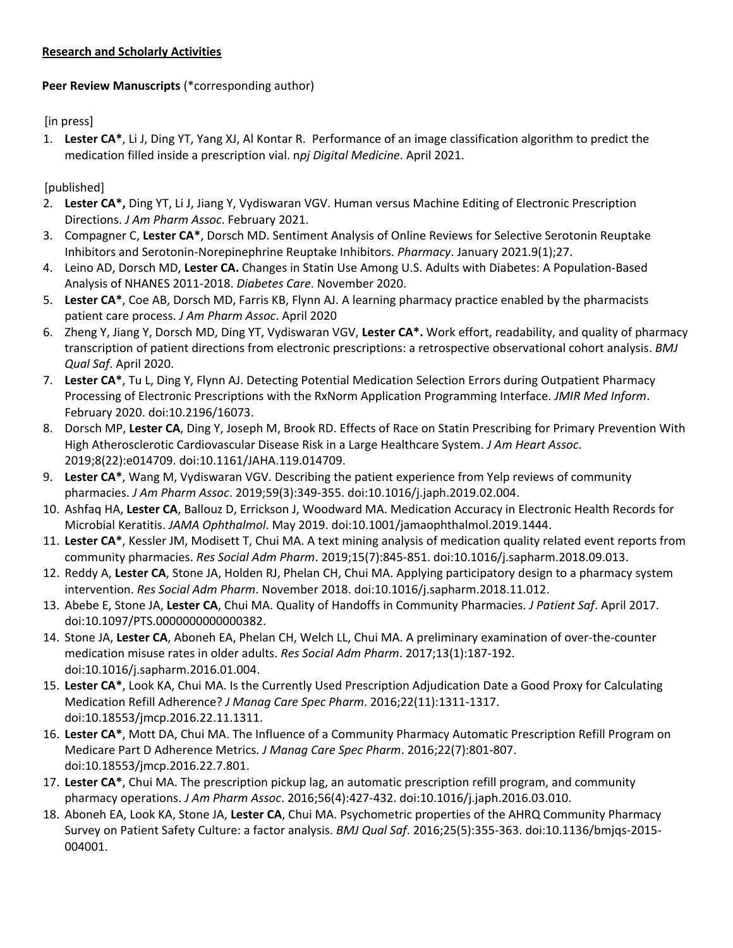## **Research and Scholarly Activities**

## **Peer Review Manuscripts** (\*corresponding author)

[in press]

1. **Lester CA\***, Li J, Ding YT, Yang XJ, Al Kontar R. Performance of an image classification algorithm to predict the medication filled inside a prescription vial. n*pj Digital Medicine*. April 2021.

[published]

- 2. **Lester CA\*,** Ding YT, Li J, Jiang Y, Vydiswaran VGV. Human versus Machine Editing of Electronic Prescription Directions. *J Am Pharm Assoc*. February 2021.
- 3. Compagner C, **Lester CA\***, Dorsch MD. Sentiment Analysis of Online Reviews for Selective Serotonin Reuptake Inhibitors and Serotonin-Norepinephrine Reuptake Inhibitors. *Pharmacy*. January 2021.9(1);27.
- 4. Leino AD, Dorsch MD, **Lester CA.** Changes in Statin Use Among U.S. Adults with Diabetes: A Population-Based Analysis of NHANES 2011-2018. *Diabetes Care*. November 2020.
- 5. **Lester CA\***, Coe AB, Dorsch MD, Farris KB, Flynn AJ. A learning pharmacy practice enabled by the pharmacists patient care process. *J Am Pharm Assoc*. April 2020
- 6. Zheng Y, Jiang Y, Dorsch MD, Ding YT, Vydiswaran VGV, **Lester CA\*.** Work effort, readability, and quality of pharmacy transcription of patient directions from electronic prescriptions: a retrospective observational cohort analysis. *BMJ Qual Saf*. April 2020.
- 7. **Lester CA\***[, Tu L, Ding Y, Flynn AJ. Detecting Potential Medication Selection Errors during Outpatient Pharmacy](http://paperpile.com/b/6kKmoN/dLFt)  [Processing of Electronic Prescriptions with the RxNorm Application Programming Interface.](http://paperpile.com/b/6kKmoN/dLFt) *JMIR Med Inform*. [February 2020. doi:10.2196/16073.](http://paperpile.com/b/6kKmoN/dLFt)
- 8. Dorsch MP, **Lester CA**[, Ding Y, Joseph M, Brook RD. Effects of Race on Statin Prescribing for Primary Prevention With](http://paperpile.com/b/6kKmoN/gYwg)  [High Atherosclerotic Cardiovascular Disease Risk in a Large Healthcare System.](http://paperpile.com/b/6kKmoN/gYwg) *J Am Heart Assoc*. [2019;8\(22\):e014709. doi:10.1161/JAHA.119.014709.](http://paperpile.com/b/6kKmoN/gYwg)
- 9. **Lester CA\***[, Wang M, Vydiswaran VGV. Describing the patient experience from Yelp reviews of community](http://paperpile.com/b/6kKmoN/zNQt)  pharmacies. *J Am Pharm Assoc*[. 2019;59\(3\):349-355. doi:](http://paperpile.com/b/6kKmoN/zNQt)[10.1016/j.japh.2019.02.004.](http://dx.doi.org/10.1016/j.japh.2019.02.004)
- 10. Ashfaq HA, **Lester CA**[, Ballouz D, Errickson J, Woodward MA. Medication Accuracy in Electronic Health Records for](http://paperpile.com/b/6kKmoN/1Bj3)  [Microbial Keratitis.](http://paperpile.com/b/6kKmoN/1Bj3) *JAMA Ophthalmol*. May 2019. doi[:10.1001/jamaophthalmol.2019.1444.](http://dx.doi.org/10.1001/jamaophthalmol.2019.1444)
- 11. **Lester CA\***[, Kessler JM, Modisett T, Chui MA. A text mining analysis of medication quality related event reports from](http://paperpile.com/b/6kKmoN/r27q)  community pharmacies. *Res Social Adm Pharm*[. 2019;15\(7\):845-851. doi:](http://paperpile.com/b/6kKmoN/r27q)[10.1016/j.sapharm.2018.09.013.](http://dx.doi.org/10.1016/j.sapharm.2018.09.013)
- 12. Reddy A, **Lester CA**[, Stone JA, Holden RJ, Phelan CH, Chui MA. Applying participatory design to a pharmacy system](http://paperpile.com/b/6kKmoN/vbqZ)  intervention. *Res Social Adm Pharm*[. November 2018. doi:](http://paperpile.com/b/6kKmoN/vbqZ)[10.1016/j.sapharm.2018.11.012.](http://dx.doi.org/10.1016/j.sapharm.2018.11.012)
- 13. Abebe E, Stone JA, **Lester CA**[, Chui MA. Quality of Handoffs in Community Pharmacies.](http://paperpile.com/b/6kKmoN/z5m3) *J Patient Saf*. April 2017. [doi:](http://paperpile.com/b/6kKmoN/z5m3)[10.1097/PTS.0000000000000382.](http://dx.doi.org/10.1097/PTS.0000000000000382)
- 14. Stone JA, **Lester CA**[, Aboneh EA, Phelan CH, Welch LL, Chui MA. A preliminary examination of over-the-counter](http://paperpile.com/b/6kKmoN/dXBL)  [medication misuse rates in older adults.](http://paperpile.com/b/6kKmoN/dXBL) *Res Social Adm Pharm*. 2017;13(1):187-192. [doi:10.1016/j.sapharm.2016.01.004.](http://paperpile.com/b/6kKmoN/dXBL)
- 15. **Lester CA\***[, Look KA, Chui MA. Is the Currently Used Prescription Adjudication Date a Good Proxy for Calculating](http://paperpile.com/b/6kKmoN/96RR)  [Medication Refill Adherence?](http://paperpile.com/b/6kKmoN/96RR) *J Manag Care Spec Pharm*. 2016;22(11):1311-1317. [doi:10.18553/jmcp.2016.22.11.1311.](http://paperpile.com/b/6kKmoN/96RR)
- 16. **Lester CA\***[, Mott DA, Chui MA. The Influence of a Community Pharmacy Automatic Prescription Refill Program on](http://paperpile.com/b/6kKmoN/liRP)  [Medicare Part D Adherence Metrics.](http://paperpile.com/b/6kKmoN/liRP) *J Manag Care Spec Pharm*. 2016;22(7):801-807. [doi:10.18553/jmcp.2016.22.7.801.](http://paperpile.com/b/6kKmoN/liRP)
- 17. **Lester CA\***[, Chui MA. The prescription pickup lag, an automatic prescription refill program, and community](http://paperpile.com/b/6kKmoN/i2tU)  pharmacy operations. *J Am Pharm Assoc*[. 2016;56\(4\):427-432. doi:](http://paperpile.com/b/6kKmoN/i2tU)[10.1016/j.japh.2016.03.010.](http://dx.doi.org/10.1016/j.japh.2016.03.010)
- 18. Aboneh EA, Look KA, Stone JA, **Lester CA**[, Chui MA. Psychometric properties of the AHRQ Community Pharmacy](http://paperpile.com/b/6kKmoN/jtmi)  [Survey on Patient Safety Culture: a factor analysis.](http://paperpile.com/b/6kKmoN/jtmi) *BMJ Qual Saf*. 2016;25(5):355-363. doi[:10.1136/bmjqs-2015-](http://dx.doi.org/10.1136/bmjqs-2015-004001) [004001](http://dx.doi.org/10.1136/bmjqs-2015-004001)[.](http://paperpile.com/b/6kKmoN/jtmi)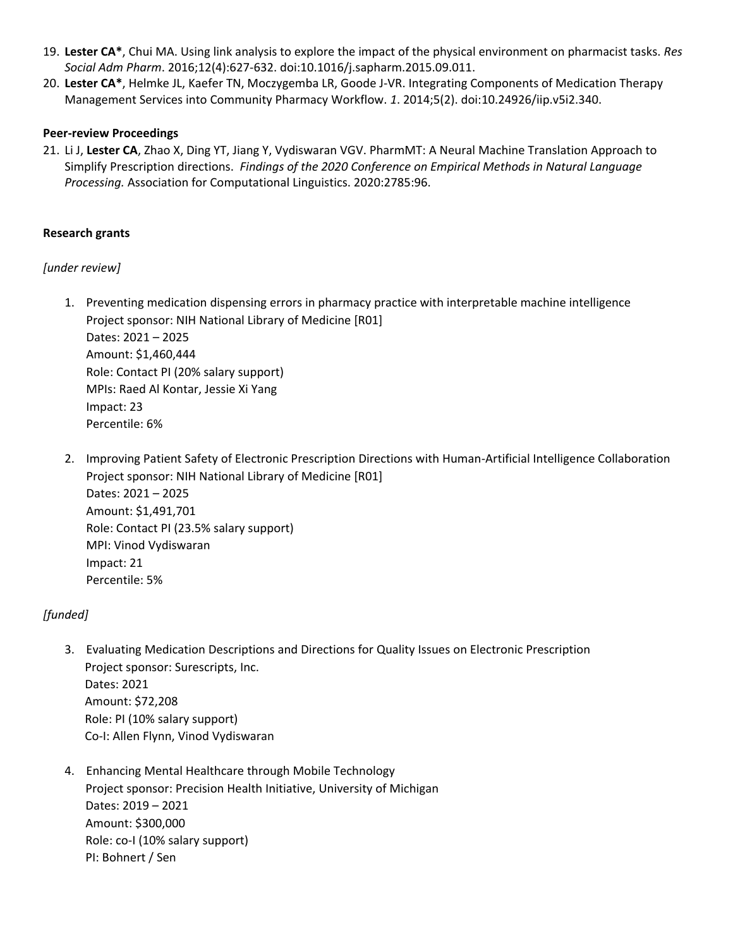- 19. **Lester CA\***[, Chui MA. Using link analysis to explore the impact of the physical environment on pharmacist tasks.](http://paperpile.com/b/6kKmoN/BXQY) *Res Social Adm Pharm*[. 2016;12\(4\):627-632. doi:](http://paperpile.com/b/6kKmoN/BXQY)[10.1016/j.sapharm.2015.09.011.](http://dx.doi.org/10.1016/j.sapharm.2015.09.011)
- 20. **Lester CA\***[, Helmke JL, Kaefer TN, Moczygemba LR, Goode J-VR. Integrating Components of Medication Therapy](http://paperpile.com/b/6kKmoN/FduN)  [Management Services into Community Pharmacy Workflow.](http://paperpile.com/b/6kKmoN/FduN) *1*. 2014;5(2). doi[:10.24926/iip.v5i2.340.](http://dx.doi.org/10.24926/iip.v5i2.340)

### **Peer-review Proceedings**

21. Li J, **Lester CA**, Zhao X, Ding YT, Jiang Y, Vydiswaran VGV. PharmMT: A Neural Machine Translation Approach to Simplify Prescription directions. *Findings of the 2020 Conference on Empirical Methods in Natural Language Processing.* Association for Computational Linguistics. 2020:2785:96.

### **Research grants**

## *[under review]*

1. Preventing medication dispensing errors in pharmacy practice with interpretable machine intelligence Project sponsor: NIH National Library of Medicine [R01] Dates: 2021 – 2025 Amount: \$1,460,444 Role: Contact PI (20% salary support)

MPIs: Raed Al Kontar, Jessie Xi Yang Impact: 23

Percentile: 6%

Percentile: 5%

2. Improving Patient Safety of Electronic Prescription Directions with Human-Artificial Intelligence Collaboration Project sponsor: NIH National Library of Medicine [R01] Dates: 2021 – 2025 Amount: \$1,491,701 Role: Contact PI (23.5% salary support) MPI: Vinod Vydiswaran Impact: 21

## *[funded]*

- 3. Evaluating Medication Descriptions and Directions for Quality Issues on Electronic Prescription Project sponsor: Surescripts, Inc. Dates: 2021 Amount: \$72,208 Role: PI (10% salary support) Co-I: Allen Flynn, Vinod Vydiswaran
- 4. Enhancing Mental Healthcare through Mobile Technology Project sponsor: Precision Health Initiative, University of Michigan Dates: 2019 – 2021 Amount: \$300,000 Role: co-I (10% salary support) PI: Bohnert / Sen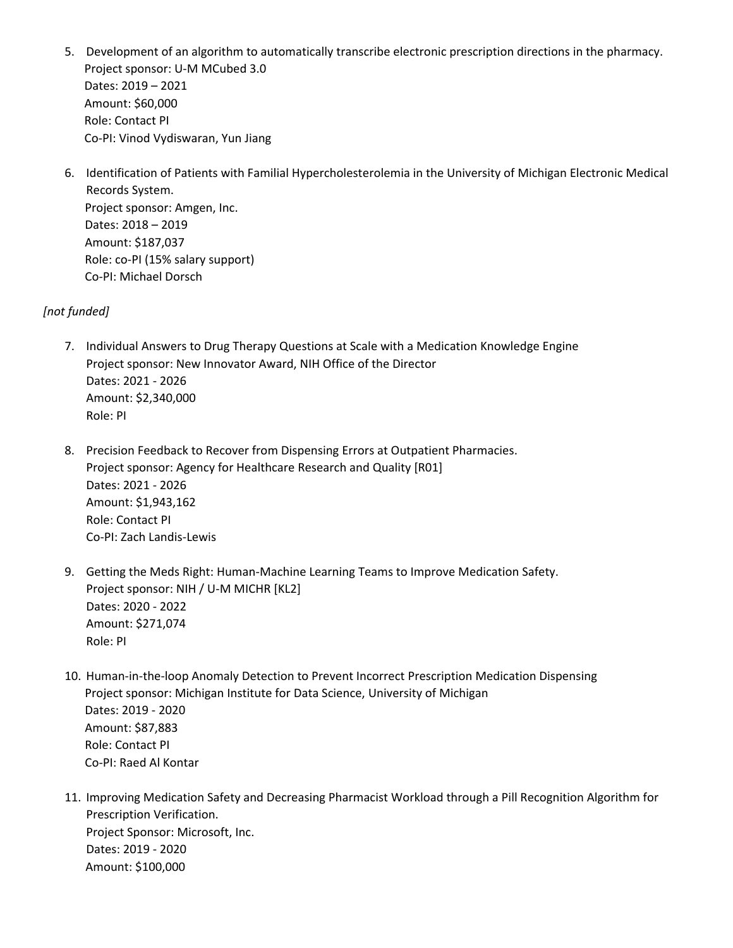- 5. Development of an algorithm to automatically transcribe electronic prescription directions in the pharmacy. Project sponsor: U-M MCubed 3.0 Dates: 2019 – 2021 Amount: \$60,000 Role: Contact PI Co-PI: Vinod Vydiswaran, Yun Jiang
- 6. Identification of Patients with Familial Hypercholesterolemia in the University of Michigan Electronic Medical Records System. Project sponsor: Amgen, Inc. Dates: 2018 – 2019 Amount: \$187,037 Role: co-PI (15% salary support) Co-PI: Michael Dorsch

## *[not funded]*

- 7. Individual Answers to Drug Therapy Questions at Scale with a Medication Knowledge Engine Project sponsor: New Innovator Award, NIH Office of the Director Dates: 2021 - 2026 Amount: \$2,340,000 Role: PI
- 8. Precision Feedback to Recover from Dispensing Errors at Outpatient Pharmacies. Project sponsor: Agency for Healthcare Research and Quality [R01] Dates: 2021 - 2026 Amount: \$1,943,162 Role: Contact PI Co-PI: Zach Landis-Lewis
- 9. Getting the Meds Right: Human-Machine Learning Teams to Improve Medication Safety. Project sponsor: NIH / U-M MICHR [KL2] Dates: 2020 - 2022 Amount: \$271,074 Role: PI
- 10. Human-in-the-loop Anomaly Detection to Prevent Incorrect Prescription Medication Dispensing Project sponsor: Michigan Institute for Data Science, University of Michigan Dates: 2019 - 2020 Amount: \$87,883 Role: Contact PI Co-PI: Raed Al Kontar
- 11. Improving Medication Safety and Decreasing Pharmacist Workload through a Pill Recognition Algorithm for Prescription Verification. Project Sponsor: Microsoft, Inc. Dates: 2019 - 2020 Amount: \$100,000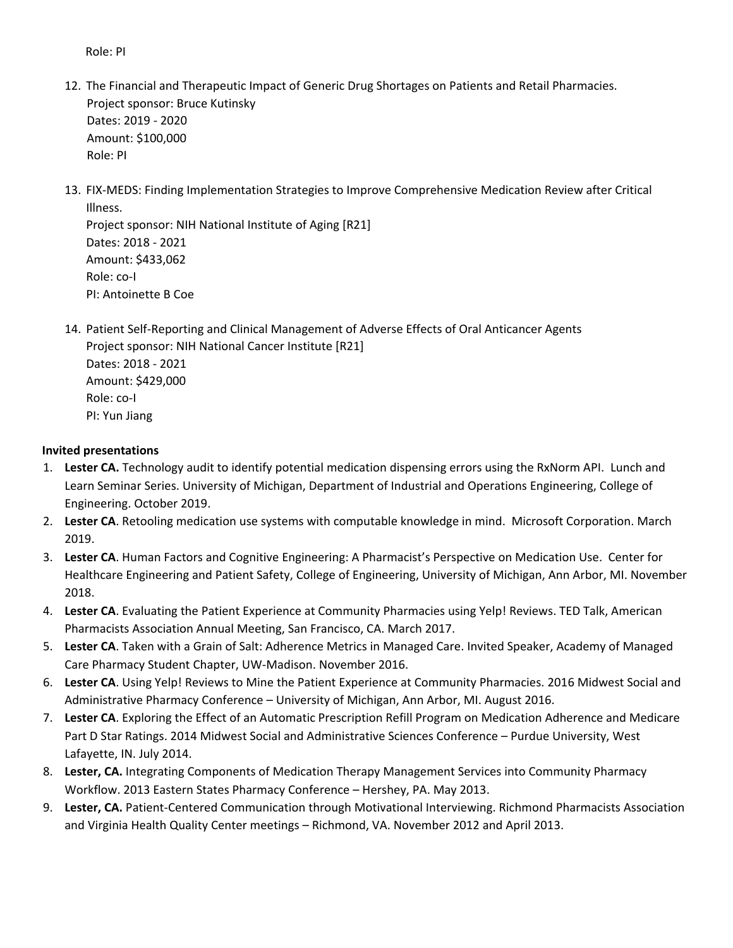Role: PI

- 12. The Financial and Therapeutic Impact of Generic Drug Shortages on Patients and Retail Pharmacies. Project sponsor: Bruce Kutinsky Dates: 2019 - 2020 Amount: \$100,000 Role: PI
- 13. FIX-MEDS: Finding Implementation Strategies to Improve Comprehensive Medication Review after Critical Illness.

Project sponsor: NIH National Institute of Aging [R21] Dates: 2018 - 2021 Amount: \$433,062 Role: co-I PI: Antoinette B Coe

14. Patient Self-Reporting and Clinical Management of Adverse Effects of Oral Anticancer Agents Project sponsor: NIH National Cancer Institute [R21] Dates: 2018 - 2021 Amount: \$429,000 Role: co-I PI: Yun Jiang

#### **Invited presentations**

- 1. **Lester CA.** Technology audit to identify potential medication dispensing errors using the RxNorm API. Lunch and Learn Seminar Series. University of Michigan, Department of Industrial and Operations Engineering, College of Engineering. October 2019.
- 2. **Lester CA**. Retooling medication use systems with computable knowledge in mind. Microsoft Corporation. March 2019.
- 3. **Lester CA**. Human Factors and Cognitive Engineering: A Pharmacist's Perspective on Medication Use. Center for Healthcare Engineering and Patient Safety, College of Engineering, University of Michigan, Ann Arbor, MI. November 2018.
- 4. **Lester CA**. Evaluating the Patient Experience at Community Pharmacies using Yelp! Reviews. TED Talk, American Pharmacists Association Annual Meeting, San Francisco, CA. March 2017.
- 5. **Lester CA**. Taken with a Grain of Salt: Adherence Metrics in Managed Care. Invited Speaker, Academy of Managed Care Pharmacy Student Chapter, UW-Madison. November 2016.
- 6. **Lester CA**. Using Yelp! Reviews to Mine the Patient Experience at Community Pharmacies. 2016 Midwest Social and Administrative Pharmacy Conference – University of Michigan, Ann Arbor, MI. August 2016.
- 7. **Lester CA**. Exploring the Effect of an Automatic Prescription Refill Program on Medication Adherence and Medicare Part D Star Ratings. 2014 Midwest Social and Administrative Sciences Conference – Purdue University, West Lafayette, IN. July 2014.
- 8. **Lester, CA.** Integrating Components of Medication Therapy Management Services into Community Pharmacy Workflow. 2013 Eastern States Pharmacy Conference – Hershey, PA. May 2013.
- 9. **Lester, CA.** Patient-Centered Communication through Motivational Interviewing. Richmond Pharmacists Association and Virginia Health Quality Center meetings – Richmond, VA. November 2012 and April 2013.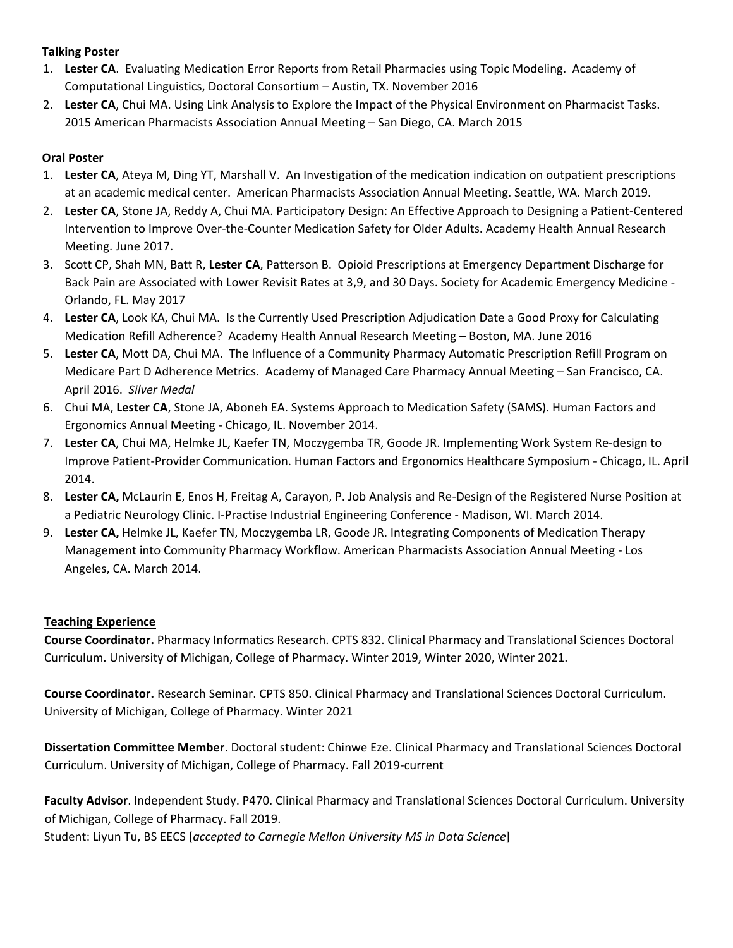## **Talking Poster**

- 1. **Lester CA**. Evaluating Medication Error Reports from Retail Pharmacies using Topic Modeling. Academy of Computational Linguistics, Doctoral Consortium – Austin, TX. November 2016
- 2. **Lester CA**, Chui MA. Using Link Analysis to Explore the Impact of the Physical Environment on Pharmacist Tasks. 2015 American Pharmacists Association Annual Meeting – San Diego, CA. March 2015

# **Oral Poster**

- 1. **Lester CA**, Ateya M, Ding YT, Marshall V. An Investigation of the medication indication on outpatient prescriptions at an academic medical center. American Pharmacists Association Annual Meeting. Seattle, WA. March 2019.
- 2. **Lester CA**, Stone JA, Reddy A, Chui MA. Participatory Design: An Effective Approach to Designing a Patient-Centered Intervention to Improve Over-the-Counter Medication Safety for Older Adults. Academy Health Annual Research Meeting. June 2017.
- 3. Scott CP, Shah MN, Batt R, **Lester CA**, Patterson B. Opioid Prescriptions at Emergency Department Discharge for Back Pain are Associated with Lower Revisit Rates at 3,9, and 30 Days. Society for Academic Emergency Medicine - Orlando, FL. May 2017
- 4. **Lester CA**, Look KA, Chui MA. Is the Currently Used Prescription Adjudication Date a Good Proxy for Calculating Medication Refill Adherence? Academy Health Annual Research Meeting – Boston, MA. June 2016
- 5. **Lester CA**, Mott DA, Chui MA. The Influence of a Community Pharmacy Automatic Prescription Refill Program on Medicare Part D Adherence Metrics. Academy of Managed Care Pharmacy Annual Meeting – San Francisco, CA. April 2016. *Silver Medal*
- 6. Chui MA, **Lester CA**, Stone JA, Aboneh EA. Systems Approach to Medication Safety (SAMS). Human Factors and Ergonomics Annual Meeting - Chicago, IL. November 2014.
- 7. **Lester CA**, Chui MA, Helmke JL, Kaefer TN, Moczygemba TR, Goode JR. Implementing Work System Re-design to Improve Patient-Provider Communication. Human Factors and Ergonomics Healthcare Symposium - Chicago, IL. April 2014.
- 8. **Lester CA,** McLaurin E, Enos H, Freitag A, Carayon, P. Job Analysis and Re-Design of the Registered Nurse Position at a Pediatric Neurology Clinic. I-Practise Industrial Engineering Conference - Madison, WI. March 2014.
- 9. **Lester CA,** Helmke JL, Kaefer TN, Moczygemba LR, Goode JR. Integrating Components of Medication Therapy Management into Community Pharmacy Workflow. American Pharmacists Association Annual Meeting - Los Angeles, CA. March 2014.

# **Teaching Experience**

**Course Coordinator.** Pharmacy Informatics Research. CPTS 832. Clinical Pharmacy and Translational Sciences Doctoral Curriculum. University of Michigan, College of Pharmacy. Winter 2019, Winter 2020, Winter 2021.

**Course Coordinator.** Research Seminar. CPTS 850. Clinical Pharmacy and Translational Sciences Doctoral Curriculum. University of Michigan, College of Pharmacy. Winter 2021

**Dissertation Committee Member**. Doctoral student: Chinwe Eze. Clinical Pharmacy and Translational Sciences Doctoral Curriculum. University of Michigan, College of Pharmacy. Fall 2019-current

**Faculty Advisor**. Independent Study. P470. Clinical Pharmacy and Translational Sciences Doctoral Curriculum. University of Michigan, College of Pharmacy. Fall 2019.

Student: Liyun Tu, BS EECS [*accepted to Carnegie Mellon University MS in Data Science*]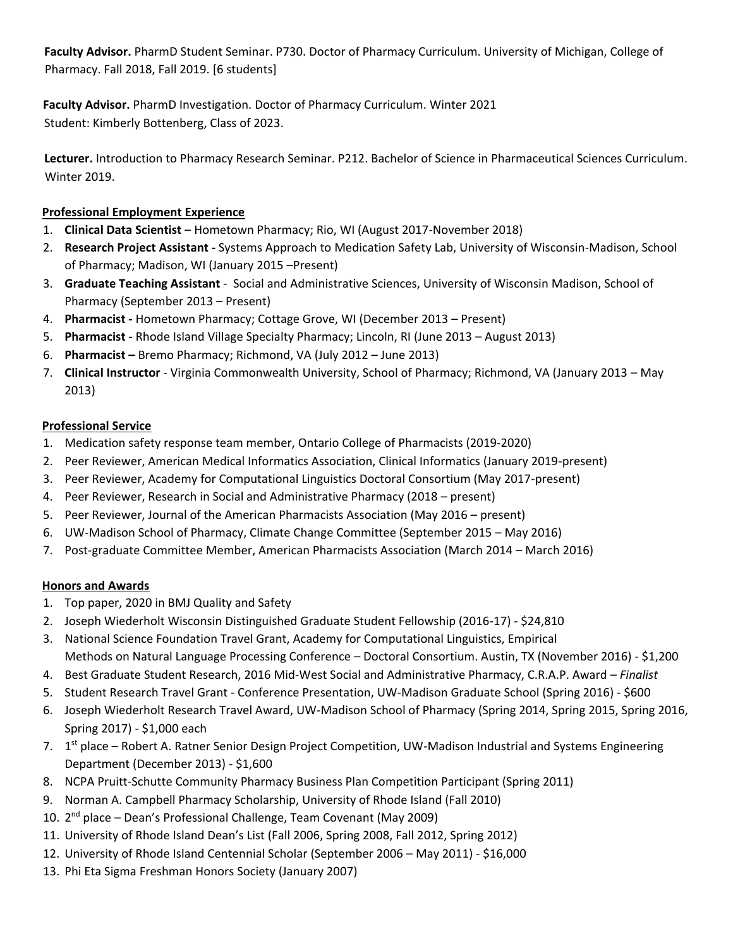**Faculty Advisor.** PharmD Student Seminar. P730. Doctor of Pharmacy Curriculum. University of Michigan, College of Pharmacy. Fall 2018, Fall 2019. [6 students]

**Faculty Advisor.** PharmD Investigation. Doctor of Pharmacy Curriculum. Winter 2021 Student: Kimberly Bottenberg, Class of 2023.

**Lecturer.** Introduction to Pharmacy Research Seminar. P212. Bachelor of Science in Pharmaceutical Sciences Curriculum. Winter 2019.

## **Professional Employment Experience**

- 1. **Clinical Data Scientist**  Hometown Pharmacy; Rio, WI (August 2017-November 2018)
- 2. **Research Project Assistant -** Systems Approach to Medication Safety Lab, University of Wisconsin-Madison, School of Pharmacy; Madison, WI (January 2015 –Present)
- 3. **Graduate Teaching Assistant** Social and Administrative Sciences, University of Wisconsin Madison, School of Pharmacy (September 2013 – Present)
- 4. **Pharmacist -** Hometown Pharmacy; Cottage Grove, WI (December 2013 Present)
- 5. **Pharmacist -** Rhode Island Village Specialty Pharmacy; Lincoln, RI (June 2013 August 2013)
- 6. **Pharmacist –** Bremo Pharmacy; Richmond, VA (July 2012 June 2013)
- 7. **Clinical Instructor** Virginia Commonwealth University, School of Pharmacy; Richmond, VA (January 2013 May 2013)

## **Professional Service**

- 1. Medication safety response team member, Ontario College of Pharmacists (2019-2020)
- 2. Peer Reviewer, American Medical Informatics Association, Clinical Informatics (January 2019-present)
- 3. Peer Reviewer, Academy for Computational Linguistics Doctoral Consortium (May 2017-present)
- 4. Peer Reviewer, Research in Social and Administrative Pharmacy (2018 present)
- 5. Peer Reviewer, Journal of the American Pharmacists Association (May 2016 present)
- 6. UW-Madison School of Pharmacy, Climate Change Committee (September 2015 May 2016)
- 7. Post-graduate Committee Member, American Pharmacists Association (March 2014 March 2016)

# **Honors and Awards**

- 1. Top paper, 2020 in BMJ Quality and Safety
- 2. Joseph Wiederholt Wisconsin Distinguished Graduate Student Fellowship (2016-17) \$24,810
- 3. National Science Foundation Travel Grant, Academy for Computational Linguistics, Empirical Methods on Natural Language Processing Conference – Doctoral Consortium. Austin, TX (November 2016) - \$1,200
- 4. Best Graduate Student Research, 2016 Mid-West Social and Administrative Pharmacy, C.R.A.P. Award *Finalist*
- 5. Student Research Travel Grant Conference Presentation, UW-Madison Graduate School (Spring 2016) \$600
- 6. Joseph Wiederholt Research Travel Award, UW-Madison School of Pharmacy (Spring 2014, Spring 2015, Spring 2016, Spring 2017) - \$1,000 each
- 7. 1<sup>st</sup> place Robert A. Ratner Senior Design Project Competition, UW-Madison Industrial and Systems Engineering Department (December 2013) - \$1,600
- 8. NCPA Pruitt-Schutte Community Pharmacy Business Plan Competition Participant (Spring 2011)
- 9. Norman A. Campbell Pharmacy Scholarship, University of Rhode Island (Fall 2010)
- 10. 2<sup>nd</sup> place Dean's Professional Challenge, Team Covenant (May 2009)
- 11. University of Rhode Island Dean's List (Fall 2006, Spring 2008, Fall 2012, Spring 2012)
- 12. University of Rhode Island Centennial Scholar (September 2006 May 2011) \$16,000
- 13. Phi Eta Sigma Freshman Honors Society (January 2007)